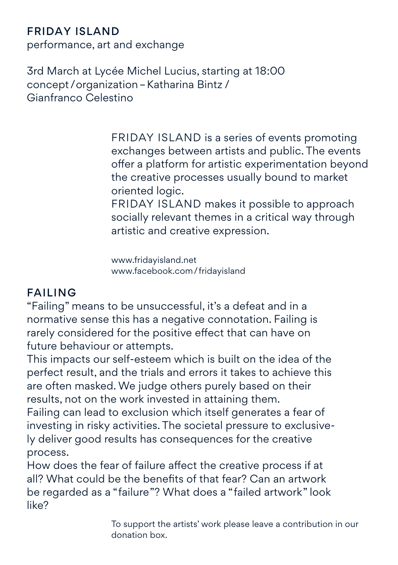## Friday Island

performance, art and exchange

3rd March at Lycée Michel Lucius, starting at 18:00 concept /organization–Katharina Bintz / Gianfranco Celestino

> FRIDAY ISLAND is a series of events promoting exchanges between artists and public. The events offer a platform for artistic experimentation beyond the creative processes usually bound to market oriented logic.

FRIDAY ISLAND makes it possible to approach socially relevant themes in a critical way through artistic and creative expression.

www.fridayisland.net www.facebook.com/fridayisland

## FAILING

"Failing" means to be unsuccessful, it's a defeat and in a normative sense this has a negative connotation. Failing is rarely considered for the positive effect that can have on future behaviour or attempts.

This impacts our self-esteem which is built on the idea of the perfect result, and the trials and errors it takes to achieve this are often masked. We judge others purely based on their results, not on the work invested in attaining them.

Failing can lead to exclusion which itself generates a fear of investing in risky activities. The societal pressure to exclusively deliver good results has consequences for the creative process.

How does the fear of failure affect the creative process if at all? What could be the benefits of that fear? Can an artwork be regarded as a "failure"? What does a "failed artwork" look like?

> To support the artists' work please leave a contribution in our donation box.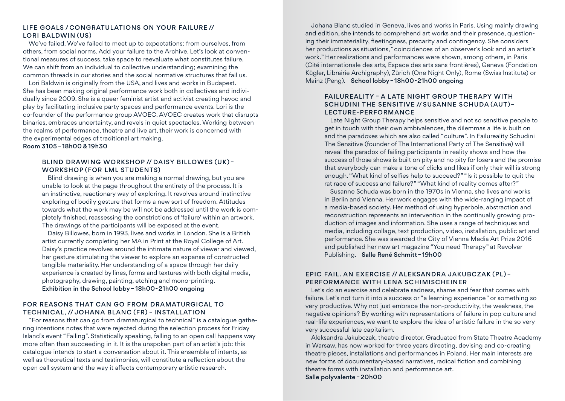### Life Goals /Congratulations on your failure // Lori Baldwin (US)

We've failed. We've failed to meet up to expectations: from ourselves, from others, from social norms. Add your failure to the Archive. Let's look at conventional measures of success, take space to reevaluate what constitutes failure. We can shift from an individual to collective understanding; examining the common threads in our stories and the social normative structures that fail us.

Lori Baldwin is originally from the USA, and lives and works in Budapest. She has been making original performance work both in collectives and individually since 2009. She is a queer feminist artist and activist creating havoc and play by facilitating inclusive party spaces and performance events. Lori is the co-founder of the performance group AVOEC. AVOEC creates work that disrupts binaries, embraces uncertainty, and revels in quiet spectacles. Working between the realms of performance, theatre and live art, their work is concerned with the experimental edges of traditional art making.

Room 3105 –18h00 & 19h30

#### Blind Drawing Workshop // DAISY BILLOWES (UK) – Workshop (for LML students)

Blind drawing is when you are making a normal drawing, but you are unable to look at the page throughout the entirety of the process. It is an instinctive, reactionary way of exploring. It revolves around instinctive exploring of bodily gesture that forms a new sort of freedom. Attitudes towards what the work may be will not be addressed until the work is completely finished, reassessing the constrictions of 'failure' within an artwork. The drawings of the participants will be exposed at the event.

Daisy Billowes, born in 1993, lives and works in London. She is a British artist currently completing her MA in Print at the Royal College of Art. Daisy's practice revolves around the intimate nature of viewer and viewed, her gesture stimulating the viewer to explore an expanse of constructed tangible materiality. Her understanding of a space through her daily experience is created by lines, forms and textures with both digital media, photography, drawing, painting, etching and mono-printing. Exhibition in the School lobby– 18h00-21h00 ongoing

### FOR REASONS THAT CAN GO FROM DRAMATURGICAL TO TECHNICAL, // Johana Blanc (FR) – INSTALLATION

"For reasons that can go from dramaturgical to technical" is a catalogue gathering intentions notes that were rejected during the selection process for Friday Island's event "Failing". Statistically speaking, falling to an open call happens way more often than succeeding in it. It is the unspoken part of an artist's job: this catalogue intends to start a conversation about it. This ensemble of intents, as well as theoretical texts and testimonies, will constitute a reflection about the open call system and the way it affects contemporary artistic research.

Johana Blanc studied in Geneva, lives and works in Paris. Using mainly drawing and edition, she intends to comprehend art works and their presence, questioning their immateriality, fleetingness, precarity and contingency. She considers her productions as situations, "coincidences of an observer's look and an artist's work." Her realizations and performances were shown, among others, in Paris (Cité internationale des arts, Espace des arts sans frontières), Geneva (Fondation Kügler, Librairie Archigraphy), Zürich (One Night Only), Rome (Swiss Institute) or Mainz (Peng). School lobby–18h00-21h00 ongoing

### FAILUREALITY – a Late Night Group Therapy with Schudini The Sensitive // Susanne Schuda (AUT)– lecture-performance

Late Night Group Therapy helps sensitive and not so sensitive people to get in touch with their own ambivalences, the dilemmas a life is built on and the paradoxes which are also called "culture". In Failureality Schudini The Sensitive (founder of The International Party of The Sensitive) will reveal the paradox of failing participants in reality shows and how the success of those shows is built on pity and no pity for losers and the promise that everybody can make a tone of clicks and likes if only their will is strong enough. "What kind of selfies help to succeed?" "Is it possible to quit the rat race of success and failure?" "What kind of reality comes after?"

Susanne Schuda was born in the 1970s in Vienna, she lives and works in Berlin and Vienna. Her work engages with the wide-ranging impact of a media-based society. Her method of using hyperbole, abstraction and reconstruction represents an intervention in the continually growing production of images and information. She uses a range of techniques and media, including collage, text production, video, installation, public art and performance. She was awarded the City of Vienna Media Art Prize 2016 and published her new art magazine "You need Therapy" at Revolver Publishing. Salle René Schmitt–19h00

#### Epic Fail. An exercise // Aleksandra Jakubczak (PL) – PERFORMANCE WITH Lena Schimischeiner

Let's do an exercise and celebrate sadness, shame and fear that comes with failure. Let's not turn it into a success or "a learning experience" or something so very productive. Why not just embrace the non-productivity, the weakness, the negative opinions? By working with representations of failure in pop culture and real-life experiences, we want to explore the idea of artistic failure in the so very very successful late capitalism.

Aleksandra Jakubczak, theatre director. Graduated from State Theatre Academy in Warsaw, has now worked for three years directing, devising and co-creating theatre pieces, installations and performances in Poland. Her main interests are new forms of documentary-based narratives, radical fiction and combining theatre forms with installation and performance art. Salle polyvalente–20h00